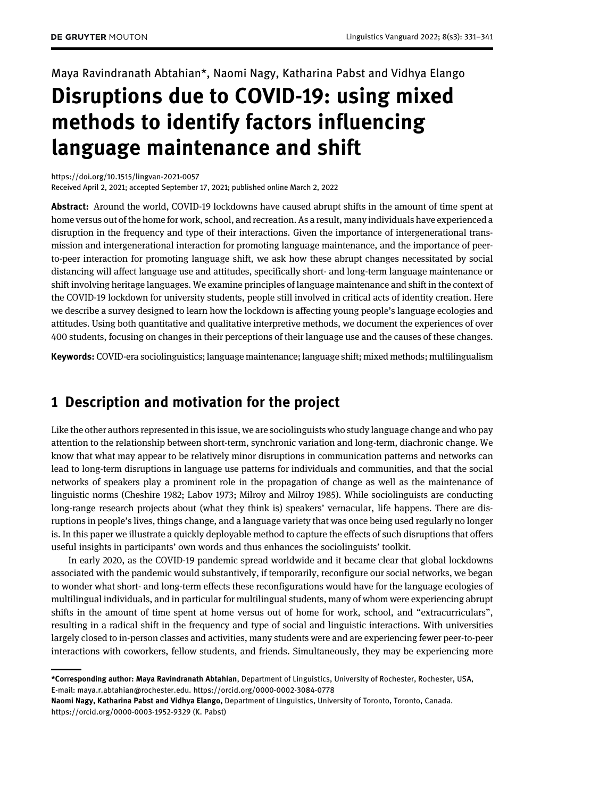Maya Ravindranath Abtahian\*, Naomi Nagy, Katharina Pabst and Vidhya Elango

# Disruptions due to COVID-19: using mixed methods to identify factors influencing language maintenance and shift

<https://doi.org/10.1515/lingvan-2021-0057>

Received April 2, 2021; accepted September 17, 2021; published online March 2, 2022

Abstract: Around the world, COVID-19 lockdowns have caused abrupt shifts in the amount of time spent at home versus out of the home for work, school, and recreation. As a result, many individuals have experienced a disruption in the frequency and type of their interactions. Given the importance of intergenerational transmission and intergenerational interaction for promoting language maintenance, and the importance of peerto-peer interaction for promoting language shift, we ask how these abrupt changes necessitated by social distancing will affect language use and attitudes, specifically short- and long-term language maintenance or shift involving heritage languages. We examine principles of language maintenance and shift in the context of the COVID-19 lockdown for university students, people still involved in critical acts of identity creation. Here we describe a survey designed to learn how the lockdown is affecting young people's language ecologies and attitudes. Using both quantitative and qualitative interpretive methods, we document the experiences of over 400 students, focusing on changes in their perceptions of their language use and the causes of these changes.

Keywords: COVID-era sociolinguistics; language maintenance; language shift; mixed methods; multilingualism

# 1 Description and motivation for the project

Like the other authors represented in this issue, we are sociolinguists who study language change and who pay attention to the relationship between short-term, synchronic variation and long-term, diachronic change. We know that what may appear to be relatively minor disruptions in communication patterns and networks can lead to long-term disruptions in language use patterns for individuals and communities, and that the social networks of speakers play a prominent role in the propagation of change as well as the maintenance of linguistic norms ([Cheshire 1982](#page-9-0); [Labov 1973](#page-9-1); [Milroy and Milroy 1985\)](#page-9-2). While sociolinguists are conducting long-range research projects about (what they think is) speakers' vernacular, life happens. There are disruptions in people's lives, things change, and a language variety that was once being used regularly no longer is. In this paper we illustrate a quickly deployable method to capture the effects of such disruptions that offers useful insights in participants' own words and thus enhances the sociolinguists' toolkit.

In early 2020, as the COVID-19 pandemic spread worldwide and it became clear that global lockdowns associated with the pandemic would substantively, if temporarily, reconfigure our social networks, we began to wonder what short- and long-term effects these reconfigurations would have for the language ecologies of multilingual individuals, and in particular for multilingual students, many of whom were experiencing abrupt shifts in the amount of time spent at home versus out of home for work, school, and "extracurriculars", resulting in a radical shift in the frequency and type of social and linguistic interactions. With universities largely closed to in-person classes and activities, many students were and are experiencing fewer peer-to-peer interactions with coworkers, fellow students, and friends. Simultaneously, they may be experiencing more

<sup>\*</sup>Corresponding author: Maya Ravindranath Abtahian, Department of Linguistics, University of Rochester, Rochester, USA, E-mail: [maya.r.abtahian@rochester.edu.](mailto:maya.r.abtahian@rochester.edu)<https://orcid.org/0000-0002-3084-0778>

Naomi Nagy, Katharina Pabst and Vidhya Elango, Department of Linguistics, University of Toronto, Toronto, Canada. <https://orcid.org/0000-0003-1952-9329> (K. Pabst)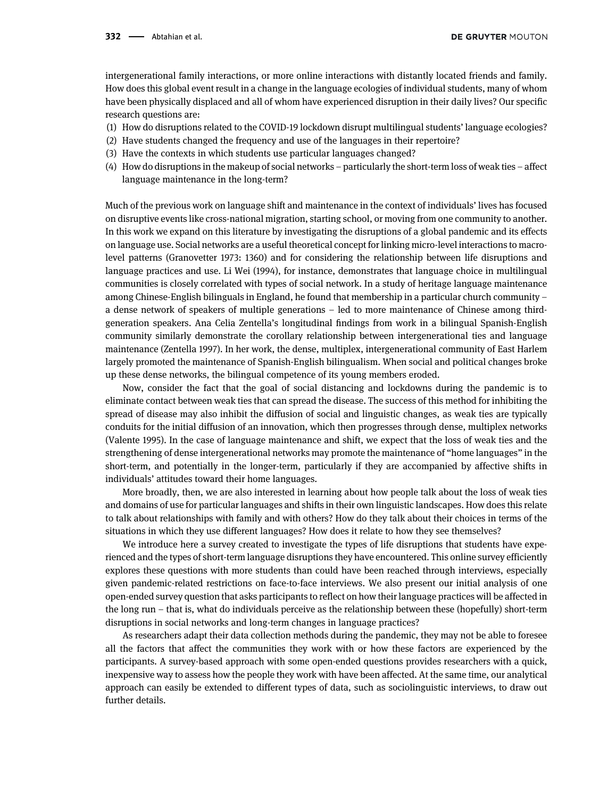intergenerational family interactions, or more online interactions with distantly located friends and family. How does this global event result in a change in the language ecologies of individual students, many of whom have been physically displaced and all of whom have experienced disruption in their daily lives? Our specific research questions are:

- (1) How do disruptions related to the COVID-19 lockdown disrupt multilingual students' language ecologies?
- (2) Have students changed the frequency and use of the languages in their repertoire?
- (3) Have the contexts in which students use particular languages changed?
- (4) How do disruptions in the makeup of social networks particularly the short-term loss of weak ties affect language maintenance in the long-term?

Much of the previous work on language shift and maintenance in the context of individuals' lives has focused on disruptive events like cross-national migration, starting school, or moving from one community to another. In this work we expand on this literature by investigating the disruptions of a global pandemic and its effects on language use. Social networks are a useful theoretical concept for linking micro-level interactions to macrolevel patterns [\(Granovetter 1973](#page-9-3): 1360) and for considering the relationship between life disruptions and language practices and use. [Li Wei \(1994\),](#page-10-0) for instance, demonstrates that language choice in multilingual communities is closely correlated with types of social network. In a study of heritage language maintenance among Chinese-English bilinguals in England, he found that membership in a particular church community – a dense network of speakers of multiple generations – led to more maintenance of Chinese among thirdgeneration speakers. Ana Celia Zentella's longitudinal findings from work in a bilingual Spanish-English community similarly demonstrate the corollary relationship between intergenerational ties and language maintenance ([Zentella 1997\)](#page-10-1). In her work, the dense, multiplex, intergenerational community of East Harlem largely promoted the maintenance of Spanish-English bilingualism. When social and political changes broke up these dense networks, the bilingual competence of its young members eroded.

Now, consider the fact that the goal of social distancing and lockdowns during the pandemic is to eliminate contact between weak ties that can spread the disease. The success of this method for inhibiting the spread of disease may also inhibit the diffusion of social and linguistic changes, as weak ties are typically conduits for the initial diffusion of an innovation, which then progresses through dense, multiplex networks ([Valente 1995\)](#page-10-2). In the case of language maintenance and shift, we expect that the loss of weak ties and the strengthening of dense intergenerational networks may promote the maintenance of "home languages" in the short-term, and potentially in the longer-term, particularly if they are accompanied by affective shifts in individuals' attitudes toward their home languages.

More broadly, then, we are also interested in learning about how people talk about the loss of weak ties and domains of use for particular languages and shifts in their own linguistic landscapes. How does this relate to talk about relationships with family and with others? How do they talk about their choices in terms of the situations in which they use different languages? How does it relate to how they see themselves?

We introduce here a survey created to investigate the types of life disruptions that students have experienced and the types of short-term language disruptions they have encountered. This online survey efficiently explores these questions with more students than could have been reached through interviews, especially given pandemic-related restrictions on face-to-face interviews. We also present our initial analysis of one open-ended survey question that asks participants to reflect on how their language practices will be affected in the long run – that is, what do individuals perceive as the relationship between these (hopefully) short-term disruptions in social networks and long-term changes in language practices?

As researchers adapt their data collection methods during the pandemic, they may not be able to foresee all the factors that affect the communities they work with or how these factors are experienced by the participants. A survey-based approach with some open-ended questions provides researchers with a quick, inexpensive way to assess how the people they work with have been affected. At the same time, our analytical approach can easily be extended to different types of data, such as sociolinguistic interviews, to draw out further details.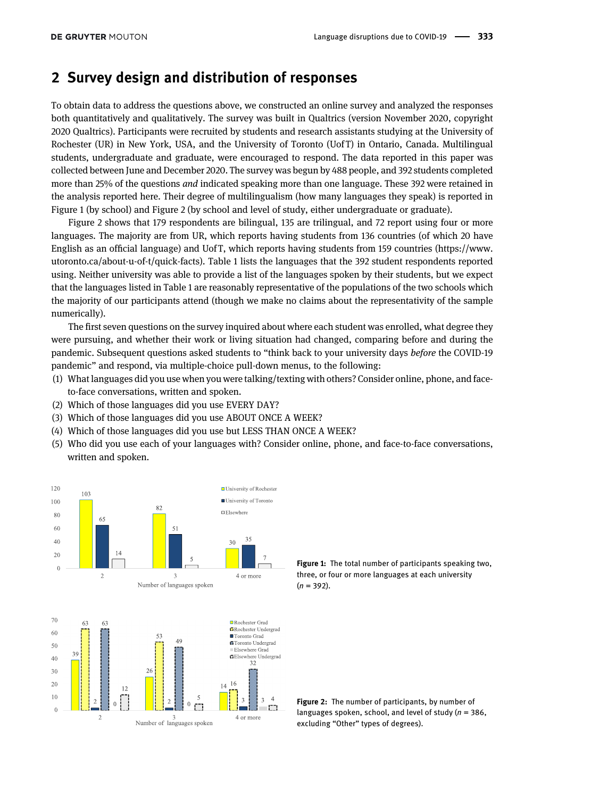## 2 Survey design and distribution of responses

To obtain data to address the questions above, we constructed an online survey and analyzed the responses both quantitatively and qualitatively. The survey was built in Qualtrics (version November 2020, copyright 2020 Qualtrics). Participants were recruited by students and research assistants studying at the University of Rochester (UR) in New York, USA, and the University of Toronto (Uof T) in Ontario, Canada. Multilingual students, undergraduate and graduate, were encouraged to respond. The data reported in this paper was collected between June and December 2020. The survey was begun by 488 people, and 392 students completed more than 25% of the questions and indicated speaking more than one language. These 392 were retained in the analysis reported here. Their degree of multilingualism (how many languages they speak) is reported in [Figure 1](#page-2-0) (by school) and [Figure 2](#page-2-1) (by school and level of study, either undergraduate or graduate).

[Figure 2](#page-2-1) shows that 179 respondents are bilingual, 135 are trilingual, and 72 report using four or more languages. The majority are from UR, which reports having students from 136 countries (of which 20 have English as an official language) and Uof T, which reports having students from 159 countries ([https://www.](https://www.utoronto.ca/about-u-of-t/quick-facts) [utoronto.ca/about-u-of-t/quick-facts\)](https://www.utoronto.ca/about-u-of-t/quick-facts). [Table 1](#page-3-0) lists the languages that the 392 student respondents reported using. Neither university was able to provide a list of the languages spoken by their students, but we expect that the languages listed in [Table 1](#page-3-0) are reasonably representative of the populations of the two schools which the majority of our participants attend (though we make no claims about the representativity of the sample numerically).

The first seven questions on the survey inquired about where each student was enrolled, what degree they were pursuing, and whether their work or living situation had changed, comparing before and during the pandemic. Subsequent questions asked students to "think back to your university days before the COVID-19 pandemic" and respond, via multiple-choice pull-down menus, to the following:

- (1) What languages did you use when you were talking/texting with others? Consider online, phone, and faceto-face conversations, written and spoken.
- (2) Which of those languages did you use EVERY DAY?
- (3) Which of those languages did you use ABOUT ONCE A WEEK?
- (4) Which of those languages did you use but LESS THAN ONCE A WEEK?
- (5) Who did you use each of your languages with? Consider online, phone, and face-to-face conversations, written and spoken.



<span id="page-2-1"></span><span id="page-2-0"></span>Figure 1: The total number of participants speaking two, three, or four or more languages at each university  $(n = 392)$ .

Figure 2: The number of participants, by number of languages spoken, school, and level of study ( $n = 386$ , excluding "Other" types of degrees).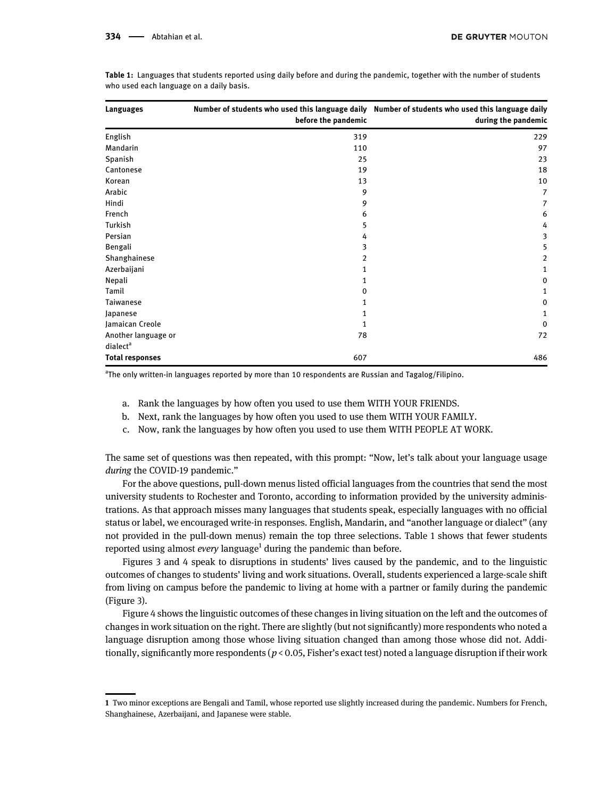| Languages              | before the pandemic | Number of students who used this language daily Number of students who used this language daily<br>during the pandemic |
|------------------------|---------------------|------------------------------------------------------------------------------------------------------------------------|
| English                | 319                 | 229                                                                                                                    |
| Mandarin               | 110                 | 97                                                                                                                     |
| Spanish                | 25                  | 23                                                                                                                     |
| Cantonese              | 19                  | 18                                                                                                                     |
| Korean                 | 13                  | 10                                                                                                                     |
| Arabic                 | 9                   | 7                                                                                                                      |
| Hindi                  | 9                   | 7                                                                                                                      |
| French                 | 6                   | 6                                                                                                                      |
| Turkish                | 5                   | 4                                                                                                                      |
| Persian                | 4                   | 3                                                                                                                      |
| Bengali                | 3                   | 5                                                                                                                      |
| Shanghainese           | 2                   | 2                                                                                                                      |
| Azerbaijani            | 1                   | 1                                                                                                                      |
| Nepali                 | 1                   | 0                                                                                                                      |
| Tamil                  | 0                   | 1                                                                                                                      |
| Taiwanese              | 1                   | 0                                                                                                                      |
| Japanese               | 1                   | 1                                                                                                                      |
| Jamaican Creole        | 1                   | 0                                                                                                                      |
| Another language or    | 78                  | 72                                                                                                                     |
| dialect <sup>a</sup>   |                     |                                                                                                                        |
| <b>Total responses</b> | 607                 | 486                                                                                                                    |

<span id="page-3-0"></span>Table 1: Languages that students reported using daily before and during the pandemic, together with the number of students who used each language on a daily basis.

<sup>a</sup>The only written-in languages reported by more than 10 respondents are Russian and Tagalog/Filipino.

- a. Rank the languages by how often you used to use them WITH YOUR FRIENDS.
- b. Next, rank the languages by how often you used to use them WITH YOUR FAMILY.
- c. Now, rank the languages by how often you used to use them WITH PEOPLE AT WORK.

The same set of questions was then repeated, with this prompt: "Now, let's talk about your language usage during the COVID-19 pandemic."

For the above questions, pull-down menus listed official languages from the countries that send the most university students to Rochester and Toronto, according to information provided by the university administrations. As that approach misses many languages that students speak, especially languages with no official status or label, we encouraged write-in responses. English, Mandarin, and "another language or dialect" (any not provided in the pull-down menus) remain the top three selections. [Table 1](#page-3-0) shows that fewer students reported using almost *every* language<sup>1</sup> during the pandemic than before.

[Figures 3](#page-4-0) and [4](#page-4-1) speak to disruptions in students' lives caused by the pandemic, and to the linguistic outcomes of changes to students' living and work situations. Overall, students experienced a large-scale shift from living on campus before the pandemic to living at home with a partner or family during the pandemic ([Figure 3\)](#page-4-0).

[Figure 4](#page-4-1) shows the linguistic outcomes of these changes in living situation on the left and the outcomes of changes in work situation on the right. There are slightly (but not significantly) more respondents who noted a language disruption among those whose living situation changed than among those whose did not. Additionally, significantly more respondents ( $p < 0.05$ , Fisher's exact test) noted a language disruption if their work

<sup>1</sup> Two minor exceptions are Bengali and Tamil, whose reported use slightly increased during the pandemic. Numbers for French, Shanghainese, Azerbaijani, and Japanese were stable.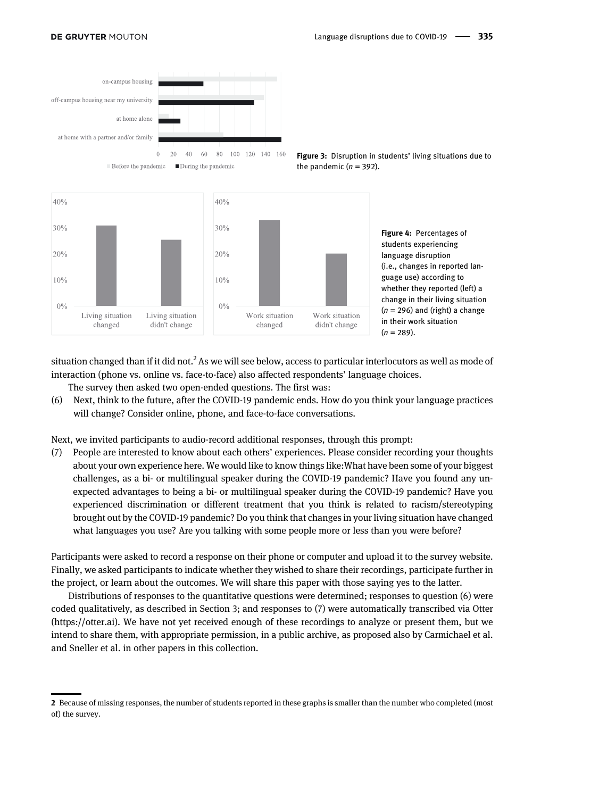#### **DE GRUYTER MOUTON**



 $\blacksquare$  During the pandemic  $\blacksquare$  Before the pandemic

<span id="page-4-1"></span><span id="page-4-0"></span>Figure 3: Disruption in students' living situations due to the pandemic  $(n = 392)$ .



situation changed than if it did not.<sup>2</sup> As we will see below, access to particular interlocutors as well as mode of interaction (phone vs. online vs. face-to-face) also affected respondents' language choices.

The survey then asked two open-ended questions. The first was:

(6) Next, think to the future, after the COVID-19 pandemic ends. How do you think your language practices will change? Consider online, phone, and face-to-face conversations.

Next, we invited participants to audio-record additional responses, through this prompt:

(7) People are interested to know about each others' experiences. Please consider recording your thoughts about your own experience here. We would like to know things like:What have been some of your biggest challenges, as a bi- or multilingual speaker during the COVID-19 pandemic? Have you found any unexpected advantages to being a bi- or multilingual speaker during the COVID-19 pandemic? Have you experienced discrimination or different treatment that you think is related to racism/stereotyping brought out by the COVID-19 pandemic? Do you think that changes in your living situation have changed what languages you use? Are you talking with some people more or less than you were before?

Participants were asked to record a response on their phone or computer and upload it to the survey website. Finally, we asked participants to indicate whether they wished to share their recordings, participate further in the project, or learn about the outcomes. We will share this paper with those saying yes to the latter.

Distributions of responses to the quantitative questions were determined; responses to question (6) were coded qualitatively, as described in [Section 3;](#page-5-0) and responses to (7) were automatically transcribed via Otter [\(https://otter.ai\)](https://otter.ai). We have not yet received enough of these recordings to analyze or present them, but we intend to share them, with appropriate permission, in a public archive, as proposed also by [Carmichael et al.](https://doi.org/10.1515/lingvan-2021-0050) and [Sneller et al.](https://doi.org/10.1515/lingvan-2021-0051) in other papers in this collection.

<sup>2</sup> Because of missing responses, the number of students reported in these graphs is smaller than the number who completed (most of) the survey.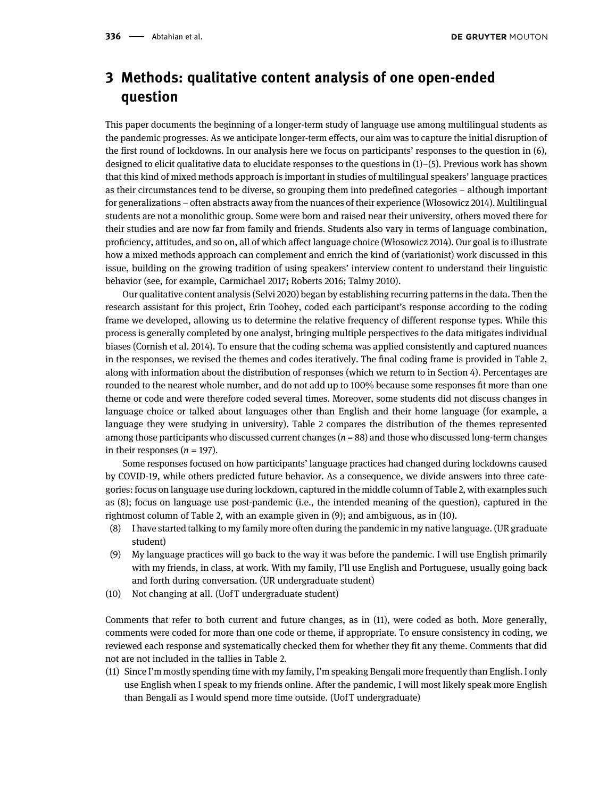# <span id="page-5-0"></span>3 Methods: qualitative content analysis of one open-ended question

This paper documents the beginning of a longer-term study of language use among multilingual students as the pandemic progresses. As we anticipate longer-term effects, our aim was to capture the initial disruption of the first round of lockdowns. In our analysis here we focus on participants' responses to the question in (6), designed to elicit qualitative data to elucidate responses to the questions in (1)–(5). Previous work has shown that this kind of mixed methods approach is important in studies of multilingual speakers' language practices as their circumstances tend to be diverse, so grouping them into predefined categories – although important for generalizations – often abstracts away from the nuances of their experience (Wł[osowicz 2014\)](#page-10-3). Multilingual students are not a monolithic group. Some were born and raised near their university, others moved there for their studies and are now far from family and friends. Students also vary in terms of language combination, proficiency, attitudes, and so on, all of which affect language choice (Wł[osowicz 2014\)](#page-10-3). Our goal is to illustrate how a mixed methods approach can complement and enrich the kind of (variationist) work discussed in this issue, building on the growing tradition of using speakers' interview content to understand their linguistic behavior (see, for example, [Carmichael 2017](#page-9-4); [Roberts 2016](#page-9-5); [Talmy 2010](#page-10-4)).

Our qualitative content analysis [\(Selvi 2020\)](#page-10-5) began by establishing recurring patterns in the data. Then the research assistant for this project, Erin Toohey, coded each participant's response according to the coding frame we developed, allowing us to determine the relative frequency of different response types. While this process is generally completed by one analyst, bringing multiple perspectives to the data mitigates individual biases [\(Cornish et al. 2014\)](#page-9-6). To ensure that the coding schema was applied consistently and captured nuances in the responses, we revised the themes and codes iteratively. The final coding frame is provided in [Table 2](#page-6-0), along with information about the distribution of responses (which we return to in [Section 4\)](#page-7-0). Percentages are rounded to the nearest whole number, and do not add up to 100% because some responses fit more than one theme or code and were therefore coded several times. Moreover, some students did not discuss changes in language choice or talked about languages other than English and their home language (for example, a language they were studying in university). [Table 2](#page-6-0) compares the distribution of the themes represented among those participants who discussed current changes  $(n = 88)$  and those who discussed long-term changes in their responses  $(n = 197)$ .

Some responses focused on how participants' language practices had changed during lockdowns caused by COVID-19, while others predicted future behavior. As a consequence, we divide answers into three categories: focus on language use during lockdown, captured in the middle column of [Table 2](#page-6-0), with examples such as (8); focus on language use post-pandemic (i.e., the intended meaning of the question), captured in the rightmost column of [Table 2](#page-6-0), with an example given in (9); and ambiguous, as in (10).

- (8) I have started talking to my family more often during the pandemic in my native language. (UR graduate student)
- (9) My language practices will go back to the way it was before the pandemic. I will use English primarily with my friends, in class, at work. With my family, I'll use English and Portuguese, usually going back and forth during conversation. (UR undergraduate student)
- (10) Not changing at all. (Uof T undergraduate student)

Comments that refer to both current and future changes, as in (11), were coded as both. More generally, comments were coded for more than one code or theme, if appropriate. To ensure consistency in coding, we reviewed each response and systematically checked them for whether they fit any theme. Comments that did not are not included in the tallies in [Table 2.](#page-6-0)

(11) Since I'm mostly spending time with my family, I'm speaking Bengali more frequently than English. I only use English when I speak to my friends online. After the pandemic, I will most likely speak more English than Bengali as I would spend more time outside. (Uof T undergraduate)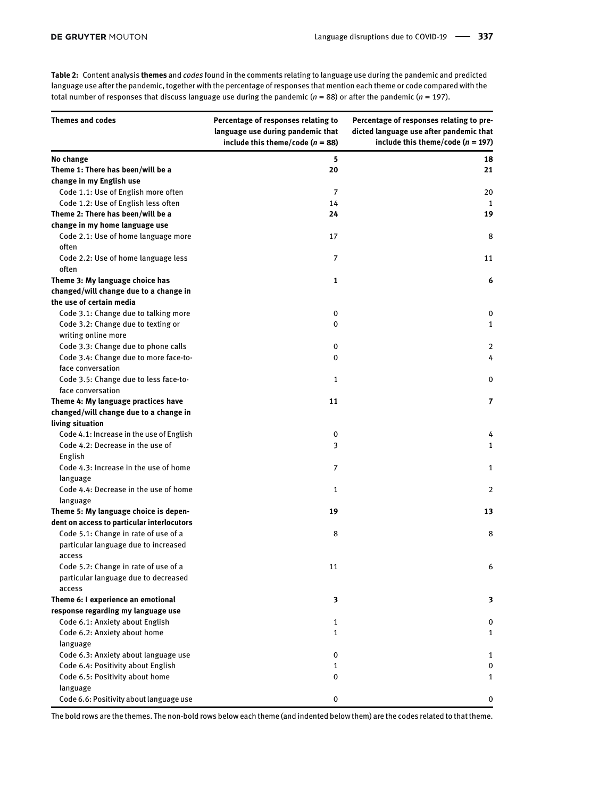<span id="page-6-0"></span>Table 2: Content analysis themes and codes found in the comments relating to language use during the pandemic and predicted language use after the pandemic, together with the percentage of responses that mention each theme or code compared with the total number of responses that discuss language use during the pandemic ( $n = 88$ ) or after the pandemic ( $n = 197$ ).

| <b>Themes and codes</b>                    | Percentage of responses relating to<br>language use during pandemic that<br>include this theme/code ( $n = 88$ ) | Percentage of responses relating to pre-<br>dicted language use after pandemic that<br>include this theme/code ( $n = 197$ ) |
|--------------------------------------------|------------------------------------------------------------------------------------------------------------------|------------------------------------------------------------------------------------------------------------------------------|
| No change                                  | 5                                                                                                                | 18                                                                                                                           |
| Theme 1: There has been/will be a          | 20                                                                                                               | 21                                                                                                                           |
| change in my English use                   |                                                                                                                  |                                                                                                                              |
| Code 1.1: Use of English more often        | 7                                                                                                                | 20                                                                                                                           |
| Code 1.2: Use of English less often        | 14                                                                                                               | 1                                                                                                                            |
| Theme 2: There has been/will be a          | 24                                                                                                               | 19                                                                                                                           |
| change in my home language use             |                                                                                                                  |                                                                                                                              |
| Code 2.1: Use of home language more        | 17                                                                                                               | 8                                                                                                                            |
| often                                      |                                                                                                                  |                                                                                                                              |
| Code 2.2: Use of home language less        | 7                                                                                                                | 11                                                                                                                           |
| often                                      |                                                                                                                  |                                                                                                                              |
| Theme 3: My language choice has            | 1                                                                                                                | 6                                                                                                                            |
| changed/will change due to a change in     |                                                                                                                  |                                                                                                                              |
| the use of certain media                   |                                                                                                                  |                                                                                                                              |
| Code 3.1: Change due to talking more       | 0                                                                                                                | 0                                                                                                                            |
| Code 3.2: Change due to texting or         | $\Omega$                                                                                                         | $\mathbf{1}$                                                                                                                 |
| writing online more                        |                                                                                                                  |                                                                                                                              |
| Code 3.3: Change due to phone calls        | 0                                                                                                                | 2                                                                                                                            |
| Code 3.4: Change due to more face-to-      | 0                                                                                                                | 4                                                                                                                            |
| face conversation                          |                                                                                                                  |                                                                                                                              |
| Code 3.5: Change due to less face-to-      | 1                                                                                                                | 0                                                                                                                            |
| face conversation                          |                                                                                                                  |                                                                                                                              |
| Theme 4: My language practices have        | 11                                                                                                               | 7                                                                                                                            |
| changed/will change due to a change in     |                                                                                                                  |                                                                                                                              |
| living situation                           |                                                                                                                  |                                                                                                                              |
| Code 4.1: Increase in the use of English   | 0                                                                                                                | 4                                                                                                                            |
| Code 4.2: Decrease in the use of           | 3                                                                                                                | $\mathbf{1}$                                                                                                                 |
| English                                    |                                                                                                                  |                                                                                                                              |
| Code 4.3: Increase in the use of home      | 7                                                                                                                | 1                                                                                                                            |
| language                                   |                                                                                                                  |                                                                                                                              |
| Code 4.4: Decrease in the use of home      | 1                                                                                                                | 2                                                                                                                            |
| language                                   |                                                                                                                  |                                                                                                                              |
| Theme 5: My language choice is depen-      | 19                                                                                                               | 13                                                                                                                           |
| dent on access to particular interlocutors |                                                                                                                  |                                                                                                                              |
| Code 5.1: Change in rate of use of a       | 8                                                                                                                | 8                                                                                                                            |
| particular language due to increased       |                                                                                                                  |                                                                                                                              |
| access                                     |                                                                                                                  |                                                                                                                              |
| Code 5.2: Change in rate of use of a       | 11                                                                                                               | 6                                                                                                                            |
| particular language due to decreased       |                                                                                                                  |                                                                                                                              |
| access                                     |                                                                                                                  |                                                                                                                              |
| Theme 6: I experience an emotional         | 3                                                                                                                | 3                                                                                                                            |
| response regarding my language use         |                                                                                                                  |                                                                                                                              |
| Code 6.1: Anxiety about English            | 1                                                                                                                | 0                                                                                                                            |
| Code 6.2: Anxiety about home               | 1                                                                                                                | 1                                                                                                                            |
| language                                   |                                                                                                                  |                                                                                                                              |
| Code 6.3: Anxiety about language use       | 0                                                                                                                | 1                                                                                                                            |
| Code 6.4: Positivity about English         | $\mathbf{1}$                                                                                                     | 0                                                                                                                            |
| Code 6.5: Positivity about home            | 0                                                                                                                | $\mathbf{1}$                                                                                                                 |
| language                                   |                                                                                                                  |                                                                                                                              |
| Code 6.6: Positivity about language use    | 0                                                                                                                | 0                                                                                                                            |

The bold rows are the themes. The non-bold rows below each theme (and indented below them) are the codes related to that theme.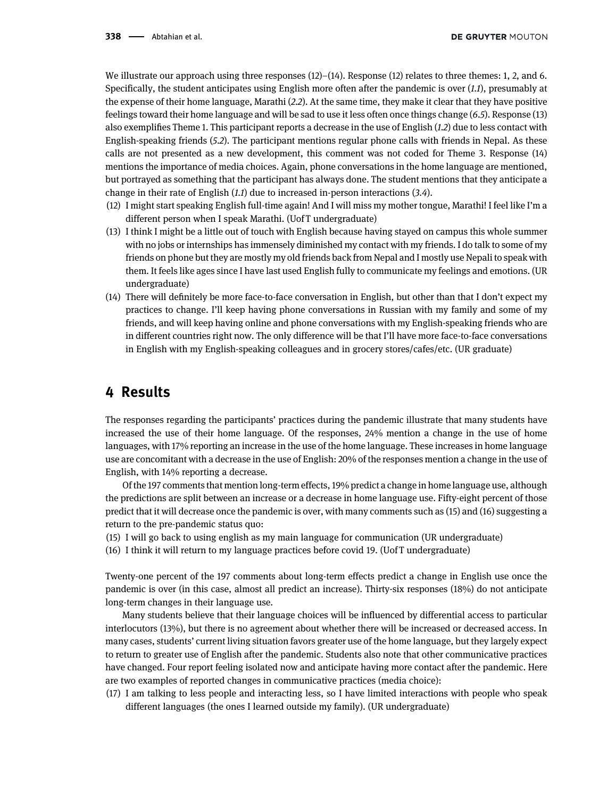We illustrate our approach using three responses  $(12)$ – $(14)$ . Response  $(12)$  relates to three themes: 1, 2, and 6. Specifically, the student anticipates using English more often after the pandemic is over (1.1), presumably at the expense of their home language, Marathi (2.2). At the same time, they make it clear that they have positive feelings toward their home language and will be sad to use it less often once things change (6.5). Response (13) also exemplifies Theme 1. This participant reports a decrease in the use of English (1.2) due to less contact with English-speaking friends (5.2). The participant mentions regular phone calls with friends in Nepal. As these calls are not presented as a new development, this comment was not coded for Theme 3. Response (14) mentions the importance of media choices. Again, phone conversations in the home language are mentioned, but portrayed as something that the participant has always done. The student mentions that they anticipate a change in their rate of English (1.1) due to increased in-person interactions (3.4).

- (12) I might start speaking English full-time again! And I will miss my mother tongue, Marathi! I feel like I'm a different person when I speak Marathi. (Uof T undergraduate)
- (13) I think I might be a little out of touch with English because having stayed on campus this whole summer with no jobs or internships has immensely diminished my contact with my friends. I do talk to some of my friends on phone but they are mostly my old friends back from Nepal and I mostly use Nepali to speak with them. It feels like ages since I have last used English fully to communicate my feelings and emotions. (UR undergraduate)
- (14) There will definitely be more face-to-face conversation in English, but other than that I don't expect my practices to change. I'll keep having phone conversations in Russian with my family and some of my friends, and will keep having online and phone conversations with my English-speaking friends who are in different countries right now. The only difference will be that I'll have more face-to-face conversations in English with my English-speaking colleagues and in grocery stores/cafes/etc. (UR graduate)

## <span id="page-7-0"></span>4 Results

The responses regarding the participants' practices during the pandemic illustrate that many students have increased the use of their home language. Of the responses, 24% mention a change in the use of home languages, with 17% reporting an increase in the use of the home language. These increases in home language use are concomitant with a decrease in the use of English: 20% of the responses mention a change in the use of English, with 14% reporting a decrease.

Of the 197 comments that mention long-term effects, 19% predict a change in home language use, although the predictions are split between an increase or a decrease in home language use. Fifty-eight percent of those predict that it will decrease once the pandemic is over, with many comments such as (15) and (16) suggesting a return to the pre-pandemic status quo:

- (15) I will go back to using english as my main language for communication (UR undergraduate)
- (16) I think it will return to my language practices before covid 19. (Uof T undergraduate)

Twenty-one percent of the 197 comments about long-term effects predict a change in English use once the pandemic is over (in this case, almost all predict an increase). Thirty-six responses (18%) do not anticipate long-term changes in their language use.

Many students believe that their language choices will be influenced by differential access to particular interlocutors (13%), but there is no agreement about whether there will be increased or decreased access. In many cases, students' current living situation favors greater use of the home language, but they largely expect to return to greater use of English after the pandemic. Students also note that other communicative practices have changed. Four report feeling isolated now and anticipate having more contact after the pandemic. Here are two examples of reported changes in communicative practices (media choice):

(17) I am talking to less people and interacting less, so I have limited interactions with people who speak different languages (the ones I learned outside my family). (UR undergraduate)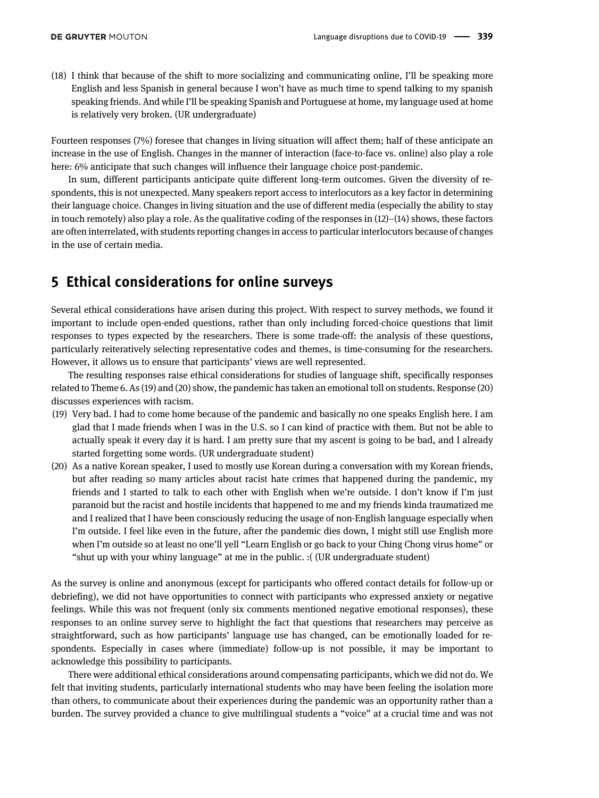(18) I think that because of the shift to more socializing and communicating online, I'll be speaking more English and less Spanish in general because I won't have as much time to spend talking to my spanish speaking friends. And while I'll be speaking Spanish and Portuguese at home, my language used at home is relatively very broken. (UR undergraduate)

Fourteen responses (7%) foresee that changes in living situation will affect them; half of these anticipate an increase in the use of English. Changes in the manner of interaction (face-to-face vs. online) also play a role here: 6% anticipate that such changes will influence their language choice post-pandemic.

In sum, different participants anticipate quite different long-term outcomes. Given the diversity of respondents, this is not unexpected. Many speakers report access to interlocutors as a key factor in determining their language choice. Changes in living situation and the use of different media (especially the ability to stay in touch remotely) also play a role. As the qualitative coding of the responses in  $(12)–(14)$  shows, these factors are often interrelated, with students reporting changes in access to particular interlocutors because of changes in the use of certain media.

# 5 Ethical considerations for online surveys

Several ethical considerations have arisen during this project. With respect to survey methods, we found it important to include open-ended questions, rather than only including forced-choice questions that limit responses to types expected by the researchers. There is some trade-off: the analysis of these questions, particularly reiteratively selecting representative codes and themes, is time-consuming for the researchers. However, it allows us to ensure that participants' views are well represented.

The resulting responses raise ethical considerations for studies of language shift, specifically responses related to Theme 6. As (19) and (20) show, the pandemic has taken an emotional toll on students. Response (20) discusses experiences with racism.

- (19) Very bad. I had to come home because of the pandemic and basically no one speaks English here. I am glad that I made friends when I was in the U.S. so I can kind of practice with them. But not be able to actually speak it every day it is hard. I am pretty sure that my ascent is going to be bad, and I already started forgetting some words. (UR undergraduate student)
- (20) As a native Korean speaker, I used to mostly use Korean during a conversation with my Korean friends, but after reading so many articles about racist hate crimes that happened during the pandemic, my friends and I started to talk to each other with English when we're outside. I don't know if I'm just paranoid but the racist and hostile incidents that happened to me and my friends kinda traumatized me and I realized that I have been consciously reducing the usage of non-English language especially when I'm outside. I feel like even in the future, after the pandemic dies down, I might still use English more when I'm outside so at least no one'll yell "Learn English or go back to your Ching Chong virus home" or "shut up with your whiny language" at me in the public. :( (UR undergraduate student)

As the survey is online and anonymous (except for participants who offered contact details for follow-up or debriefing), we did not have opportunities to connect with participants who expressed anxiety or negative feelings. While this was not frequent (only six comments mentioned negative emotional responses), these responses to an online survey serve to highlight the fact that questions that researchers may perceive as straightforward, such as how participants' language use has changed, can be emotionally loaded for respondents. Especially in cases where (immediate) follow-up is not possible, it may be important to acknowledge this possibility to participants.

There were additional ethical considerations around compensating participants, which we did not do. We felt that inviting students, particularly international students who may have been feeling the isolation more than others, to communicate about their experiences during the pandemic was an opportunity rather than a burden. The survey provided a chance to give multilingual students a "voice" at a crucial time and was not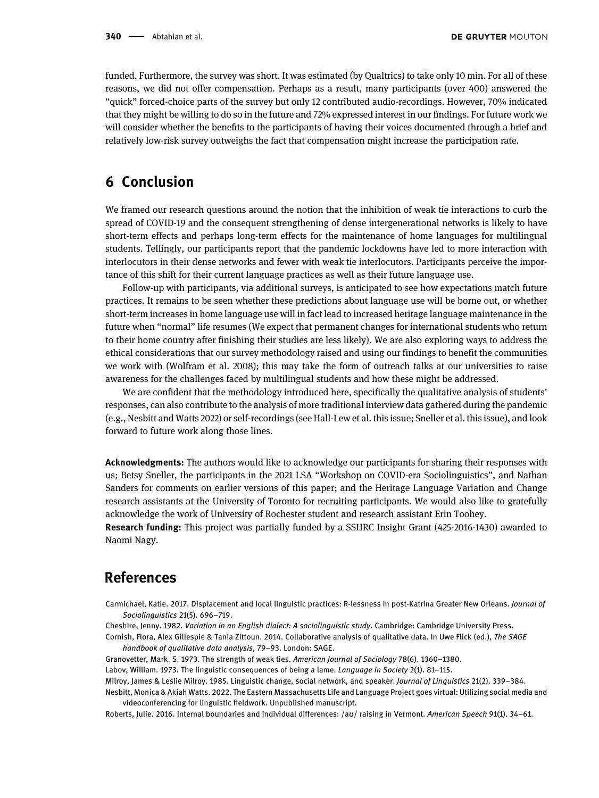funded. Furthermore, the survey was short. It was estimated (by Qualtrics) to take only 10 min. For all of these reasons, we did not offer compensation. Perhaps as a result, many participants (over 400) answered the "quick" forced-choice parts of the survey but only 12 contributed audio-recordings. However, 70% indicated that they might be willing to do so in the future and 72% expressed interest in our findings. For future work we will consider whether the benefits to the participants of having their voices documented through a brief and relatively low-risk survey outweighs the fact that compensation might increase the participation rate.

# 6 Conclusion

We framed our research questions around the notion that the inhibition of weak tie interactions to curb the spread of COVID-19 and the consequent strengthening of dense intergenerational networks is likely to have short-term effects and perhaps long-term effects for the maintenance of home languages for multilingual students. Tellingly, our participants report that the pandemic lockdowns have led to more interaction with interlocutors in their dense networks and fewer with weak tie interlocutors. Participants perceive the importance of this shift for their current language practices as well as their future language use.

Follow-up with participants, via additional surveys, is anticipated to see how expectations match future practices. It remains to be seen whether these predictions about language use will be borne out, or whether short-term increases in home language use will in fact lead to increased heritage language maintenance in the future when "normal" life resumes (We expect that permanent changes for international students who return to their home country after finishing their studies are less likely). We are also exploring ways to address the ethical considerations that our survey methodology raised and using our findings to benefit the communities we work with [\(Wolfram et al. 2008\)](#page-10-6); this may take the form of outreach talks at our universities to raise awareness for the challenges faced by multilingual students and how these might be addressed.

We are confident that the methodology introduced here, specifically the qualitative analysis of students' responses, can also contribute to the analysis of more traditional interview data gathered during the pandemic (e.g., [Nesbitt and Watts 2022](#page-9-7)) or self-recordings (see [Hall-Lew et al. this issue;](https://doi.org/10.1515/lingvan-2021-0053) [Sneller et al. this issue\)](https://doi.org/10.1515/lingvan-2021-0051), and look forward to future work along those lines.

Acknowledgments: The authors would like to acknowledge our participants for sharing their responses with us; Betsy Sneller, the participants in the 2021 LSA "Workshop on COVID-era Sociolinguistics", and Nathan Sanders for comments on earlier versions of this paper; and the Heritage Language Variation and Change research assistants at the University of Toronto for recruiting participants. We would also like to gratefully acknowledge the work of University of Rochester student and research assistant Erin Toohey.

Research funding: This project was partially funded by a SSHRC Insight Grant (425-2016-1430) awarded to Naomi Nagy.

#### References

<span id="page-9-4"></span>Carmichael, Katie. 2017. Displacement and local linguistic practices: R-lessness in post-Katrina Greater New Orleans. Journal of Sociolinguistics 21(5). 696–719.

<span id="page-9-6"></span><span id="page-9-0"></span>Cheshire, Jenny. 1982. Variation in an English dialect: A sociolinguistic study. Cambridge: Cambridge University Press.

Cornish, Flora, Alex Gillespie & Tania Zittoun. 2014. Collaborative analysis of qualitative data. In Uwe Flick (ed.), The SAGE handbook of qualitative data analysis, 79–93. London: SAGE.

<span id="page-9-3"></span><span id="page-9-1"></span>Granovetter, Mark. S. 1973. The strength of weak ties. American Journal of Sociology 78(6). 1360–1380.

<span id="page-9-2"></span>Labov, William. 1973. The linguistic consequences of being a lame. Language in Society 2(1). 81–115.

<span id="page-9-7"></span>Milroy, James & Leslie Milroy. 1985. Linguistic change, social network, and speaker. Journal of Linguistics 21(2). 339–384.

Nesbitt, Monica & Akiah Watts. 2022. The Eastern Massachusetts Life and Language Project goes virtual: Utilizing social media and videoconferencing for linguistic fieldwork. Unpublished manuscript.

<span id="page-9-5"></span>Roberts, Julie. 2016. Internal boundaries and individual differences: /aʊ/ raising in Vermont. American Speech 91(1). 34–61.